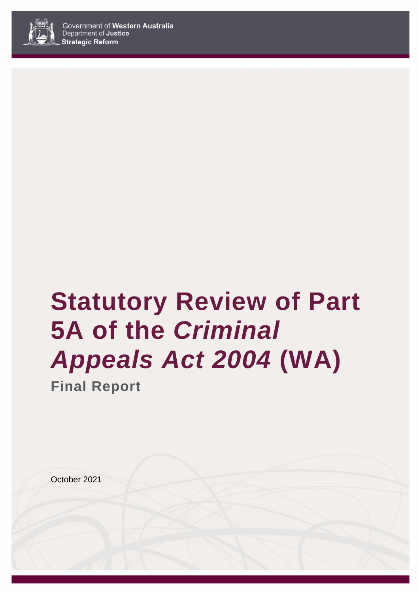

# **Statutory Review of Part 5A of the** *Criminal Appeals Act 2004* **(WA)**

**Final Report**

October 2021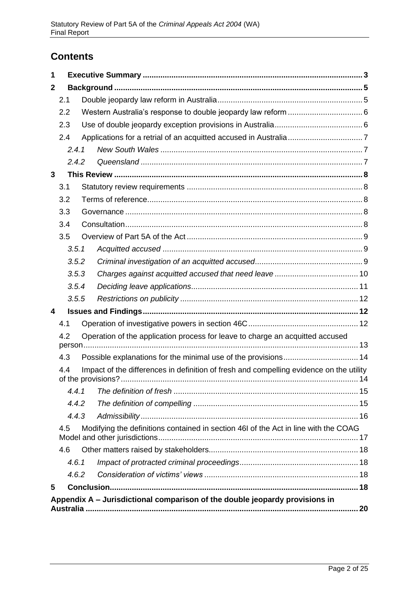# **Contents**

| 1            |       |                                                                                         |    |
|--------------|-------|-----------------------------------------------------------------------------------------|----|
| $\mathbf{2}$ |       |                                                                                         |    |
|              | 2.1   |                                                                                         |    |
|              | 2.2   |                                                                                         |    |
|              | 2.3   |                                                                                         |    |
|              | 2.4   |                                                                                         |    |
|              | 2.4.1 |                                                                                         |    |
|              | 2.4.2 |                                                                                         |    |
| 3            |       |                                                                                         |    |
|              | 3.1   |                                                                                         |    |
|              | 3.2   |                                                                                         |    |
|              | 3.3   |                                                                                         |    |
|              | 3.4   |                                                                                         |    |
|              | 3.5   |                                                                                         |    |
|              | 3.5.1 |                                                                                         |    |
|              | 3.5.2 |                                                                                         |    |
|              | 3.5.3 |                                                                                         |    |
|              | 3.5.4 |                                                                                         |    |
|              | 3.5.5 |                                                                                         |    |
| 4            |       |                                                                                         |    |
|              | 4.1   |                                                                                         |    |
|              | 4.2   | Operation of the application process for leave to charge an acquitted accused           |    |
|              | 4.3   |                                                                                         |    |
|              | 4.4   | Impact of the differences in definition of fresh and compelling evidence on the utility |    |
|              | 4.4.1 |                                                                                         |    |
|              | 4.4.2 |                                                                                         |    |
|              | 4.4.3 |                                                                                         |    |
|              | 4.5   | Modifying the definitions contained in section 46I of the Act in line with the COAG     |    |
|              | 4.6   |                                                                                         |    |
|              | 4.6.1 |                                                                                         |    |
|              | 4.6.2 |                                                                                         |    |
| 5            |       |                                                                                         |    |
|              |       | Appendix A - Jurisdictional comparison of the double jeopardy provisions in<br>         | 20 |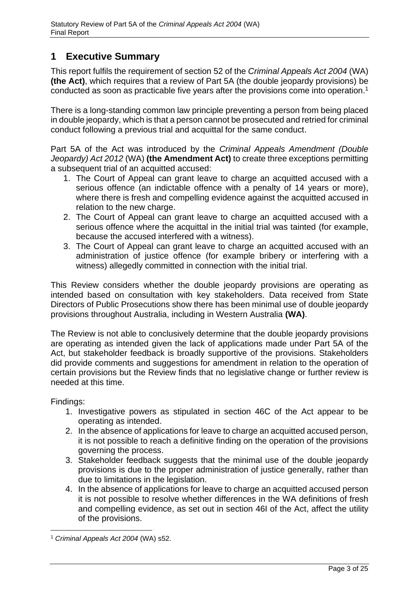# <span id="page-2-0"></span>**1 Executive Summary**

This report fulfils the requirement of section 52 of the *Criminal Appeals Act 2004* (WA) **(the Act)**, which requires that a review of Part 5A (the double jeopardy provisions) be conducted as soon as practicable five years after the provisions come into operation.<sup>1</sup>

There is a long-standing common law principle preventing a person from being placed in double jeopardy, which is that a person cannot be prosecuted and retried for criminal conduct following a previous trial and acquittal for the same conduct.

Part 5A of the Act was introduced by the *Criminal Appeals Amendment (Double Jeopardy) Act 2012* (WA) **(the Amendment Act)** to create three exceptions permitting a subsequent trial of an acquitted accused:

- 1. The Court of Appeal can grant leave to charge an acquitted accused with a serious offence (an indictable offence with a penalty of 14 years or more), where there is fresh and compelling evidence against the acquitted accused in relation to the new charge.
- 2. The Court of Appeal can grant leave to charge an acquitted accused with a serious offence where the acquittal in the initial trial was tainted (for example, because the accused interfered with a witness).
- 3. The Court of Appeal can grant leave to charge an acquitted accused with an administration of justice offence (for example bribery or interfering with a witness) allegedly committed in connection with the initial trial.

This Review considers whether the double jeopardy provisions are operating as intended based on consultation with key stakeholders. Data received from State Directors of Public Prosecutions show there has been minimal use of double jeopardy provisions throughout Australia, including in Western Australia **(WA)**.

The Review is not able to conclusively determine that the double jeopardy provisions are operating as intended given the lack of applications made under Part 5A of the Act, but stakeholder feedback is broadly supportive of the provisions. Stakeholders did provide comments and suggestions for amendment in relation to the operation of certain provisions but the Review finds that no legislative change or further review is needed at this time.

Findings:

- 1. Investigative powers as stipulated in section 46C of the Act appear to be operating as intended.
- 2. In the absence of applications for leave to charge an acquitted accused person, it is not possible to reach a definitive finding on the operation of the provisions governing the process.
- 3. Stakeholder feedback suggests that the minimal use of the double jeopardy provisions is due to the proper administration of justice generally, rather than due to limitations in the legislation.
- 4. In the absence of applications for leave to charge an acquitted accused person it is not possible to resolve whether differences in the WA definitions of fresh and compelling evidence, as set out in section 46I of the Act, affect the utility of the provisions.

<sup>1</sup> *Criminal Appeals Act 2004* (WA) s52.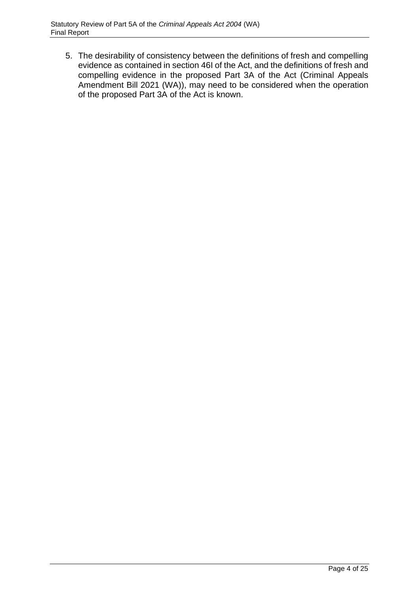5. The desirability of consistency between the definitions of fresh and compelling evidence as contained in section 46I of the Act, and the definitions of fresh and compelling evidence in the proposed Part 3A of the Act (Criminal Appeals Amendment Bill 2021 (WA)), may need to be considered when the operation of the proposed Part 3A of the Act is known.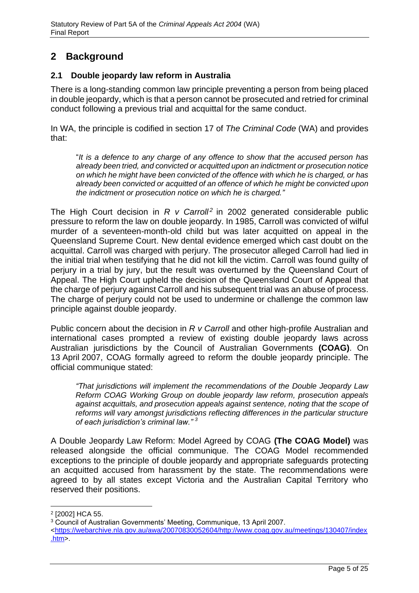# <span id="page-4-0"></span>**2 Background**

# <span id="page-4-1"></span>**2.1 Double jeopardy law reform in Australia**

There is a long-standing common law principle preventing a person from being placed in double jeopardy, which is that a person cannot be prosecuted and retried for criminal conduct following a previous trial and acquittal for the same conduct.

In WA, the principle is codified in section 17 of *The Criminal Code* (WA) and provides that:

"*It is a defence to any charge of any offence to show that the accused person has already been tried, and convicted or acquitted upon an indictment or prosecution notice on which he might have been convicted of the offence with which he is charged, or has already been convicted or acquitted of an offence of which he might be convicted upon the indictment or prosecution notice on which he is charged."*

The High Court decision in *R v Carroll<sup>2</sup>* in 2002 generated considerable public pressure to reform the law on double jeopardy. In 1985, Carroll was convicted of wilful murder of a seventeen-month-old child but was later acquitted on appeal in the Queensland Supreme Court. New dental evidence emerged which cast doubt on the acquittal. Carroll was charged with perjury. The prosecutor alleged Carroll had lied in the initial trial when testifying that he did not kill the victim. Carroll was found guilty of perjury in a trial by jury, but the result was overturned by the Queensland Court of Appeal. The High Court upheld the decision of the Queensland Court of Appeal that the charge of perjury against Carroll and his subsequent trial was an abuse of process. The charge of perjury could not be used to undermine or challenge the common law principle against double jeopardy.

Public concern about the decision in *R v Carroll* and other high-profile Australian and international cases prompted a review of existing double jeopardy laws across Australian jurisdictions by the Council of Australian Governments **(COAG)**. On 13 April 2007, COAG formally agreed to reform the double jeopardy principle. The official communique stated:

*"That jurisdictions will implement the recommendations of the Double Jeopardy Law Reform COAG Working Group on double jeopardy law reform, prosecution appeals against acquittals, and prosecution appeals against sentence, noting that the scope of reforms will vary amongst jurisdictions reflecting differences in the particular structure of each jurisdiction's criminal law." <sup>3</sup>*

A Double Jeopardy Law Reform: Model Agreed by COAG **(The COAG Model)** was released alongside the official communique. The COAG Model recommended exceptions to the principle of double jeopardy and appropriate safeguards protecting an acquitted accused from harassment by the state. The recommendations were agreed to by all states except Victoria and the Australian Capital Territory who reserved their positions.

<sup>2</sup> [2002] HCA 55.

<sup>3</sup> Council of Australian Governments' Meeting, Communique, 13 April 2007.

[<sup>&</sup>lt;https://webarchive.nla.gov.au/awa/20070830052604/http://www.coag.gov.au/meetings/130407/index](https://webarchive.nla.gov.au/awa/20070830052604/http:/www.coag.gov.au/meetings/130407/index.htm)  $.htm$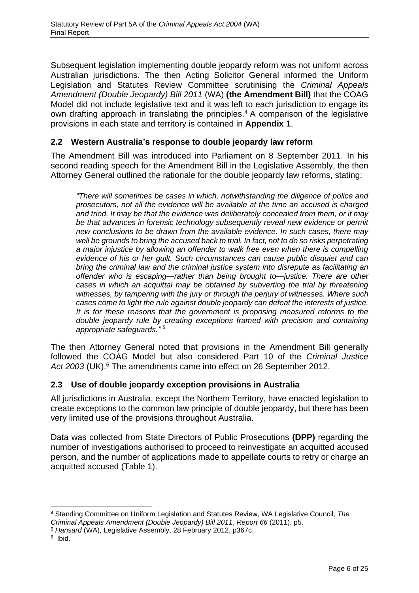Subsequent legislation implementing double jeopardy reform was not uniform across Australian jurisdictions. The then Acting Solicitor General informed the Uniform Legislation and Statutes Review Committee scrutinising the *Criminal Appeals Amendment (Double Jeopardy) Bill 2011* (WA) **(the Amendment Bill)** that the COAG Model did not include legislative text and it was left to each jurisdiction to engage its own drafting approach in translating the principles.<sup>4</sup> A comparison of the legislative provisions in each state and territory is contained in **Appendix 1**.

# <span id="page-5-0"></span>**2.2 Western Australia's response to double jeopardy law reform**

The Amendment Bill was introduced into Parliament on 8 September 2011. In his second reading speech for the Amendment Bill in the Legislative Assembly, the then Attorney General outlined the rationale for the double jeopardy law reforms, stating:

*"There will sometimes be cases in which, notwithstanding the diligence of police and prosecutors, not all the evidence will be available at the time an accused is charged and tried. It may be that the evidence was deliberately concealed from them, or it may be that advances in forensic technology subsequently reveal new evidence or permit new conclusions to be drawn from the available evidence. In such cases, there may well be grounds to bring the accused back to trial. In fact, not to do so risks perpetrating a major injustice by allowing an offender to walk free even when there is compelling evidence of his or her guilt. Such circumstances can cause public disquiet and can bring the criminal law and the criminal justice system into disrepute as facilitating an offender who is escaping—rather than being brought to—justice. There are other*  cases in which an acquittal may be obtained by subverting the trial by threatening *witnesses, by tampering with the jury or through the perjury of witnesses. Where such cases come to light the rule against double jeopardy can defeat the interests of justice. It is for these reasons that the government is proposing measured reforms to the double jeopardy rule by creating exceptions framed with precision and containing appropriate safeguards." <sup>5</sup>*

The then Attorney General noted that provisions in the Amendment Bill generally followed the COAG Model but also considered Part 10 of the *Criminal Justice Act 2003* (UK). <sup>6</sup> The amendments came into effect on 26 September 2012.

# <span id="page-5-1"></span>**2.3 Use of double jeopardy exception provisions in Australia**

All jurisdictions in Australia, except the Northern Territory, have enacted legislation to create exceptions to the common law principle of double jeopardy, but there has been very limited use of the provisions throughout Australia.

Data was collected from State Directors of Public Prosecutions **(DPP)** regarding the number of investigations authorised to proceed to reinvestigate an acquitted accused person, and the number of applications made to appellate courts to retry or charge an acquitted accused (Table 1).

<sup>4</sup> Standing Committee on Uniform Legislation and Statutes Review, WA Legislative Council, *The Criminal Appeals Amendment (Double Jeopardy) Bill 2011*, *Report 66* (2011), p5.

<sup>5</sup> *Hansard* (WA), Legislative Assembly, 28 February 2012, p367c.

<sup>&</sup>lt;sup>6</sup> Ibid.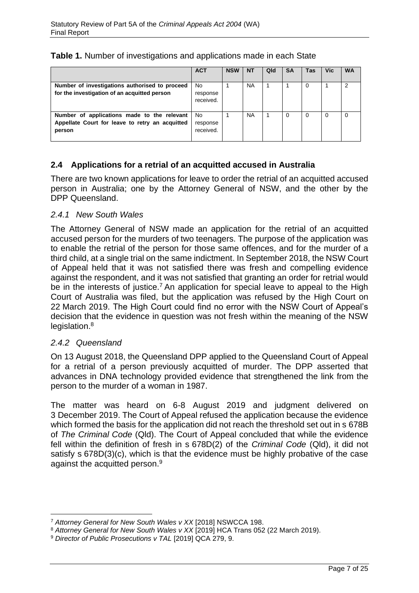|                                                                                                          | <b>ACT</b>                   | <b>NSW</b> | <b>NT</b> | Qld | <b>SA</b> | Tas | <b>Vic</b> | <b>WA</b> |
|----------------------------------------------------------------------------------------------------------|------------------------------|------------|-----------|-----|-----------|-----|------------|-----------|
| Number of investigations authorised to proceed<br>for the investigation of an acquitted person           | No.<br>response<br>received. |            | <b>NA</b> |     |           | 0   |            | 2         |
| Number of applications made to the relevant<br>Appellate Court for leave to retry an acquitted<br>person | No.<br>response<br>received. |            | <b>NA</b> |     |           | 0   | $\Omega$   |           |

# **Table 1.** Number of investigations and applications made in each State

# <span id="page-6-0"></span>**2.4 Applications for a retrial of an acquitted accused in Australia**

There are two known applications for leave to order the retrial of an acquitted accused person in Australia; one by the Attorney General of NSW, and the other by the DPP Queensland.

## <span id="page-6-1"></span>*2.4.1 New South Wales*

The Attorney General of NSW made an application for the retrial of an acquitted accused person for the murders of two teenagers. The purpose of the application was to enable the retrial of the person for those same offences, and for the murder of a third child, at a single trial on the same indictment. In September 2018, the NSW Court of Appeal held that it was not satisfied there was fresh and compelling evidence against the respondent, and it was not satisfied that granting an order for retrial would be in the interests of justice.<sup>7</sup> An application for special leave to appeal to the High Court of Australia was filed, but the application was refused by the High Court on 22 March 2019. The High Court could find no error with the NSW Court of Appeal's decision that the evidence in question was not fresh within the meaning of the NSW legislation.<sup>8</sup>

#### <span id="page-6-2"></span>*2.4.2 Queensland*

On 13 August 2018, the Queensland DPP applied to the Queensland Court of Appeal for a retrial of a person previously acquitted of murder. The DPP asserted that advances in DNA technology provided evidence that strengthened the link from the person to the murder of a woman in 1987.

The matter was heard on 6-8 August 2019 and judgment delivered on 3 December 2019. The Court of Appeal refused the application because the evidence which formed the basis for the application did not reach the threshold set out in s 678B of *The Criminal Code* (Qld). The Court of Appeal concluded that while the evidence fell within the definition of fresh in s 678D(2) of the *Criminal Code* (Qld), it did not satisfy s 678D(3)(c), which is that the evidence must be highly probative of the case against the acquitted person.<sup>9</sup>

<sup>7</sup> *Attorney General for New South Wales v XX* [2018] NSWCCA 198.

<sup>8</sup> *Attorney General for New South Wales v XX* [2019] HCA Trans 052 (22 March 2019).

<sup>9</sup> *Director of Public Prosecutions v TAL* [2019] QCA 279, 9.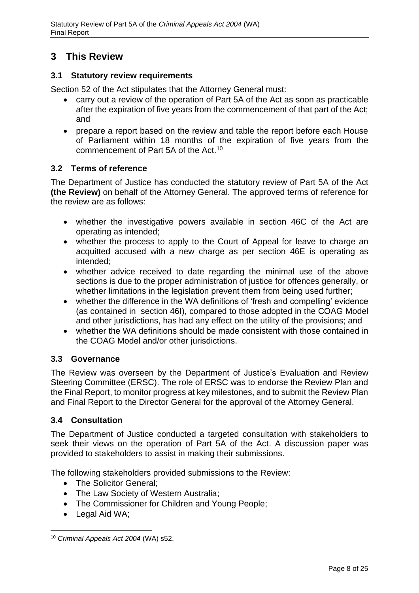# <span id="page-7-0"></span>**3 This Review**

## <span id="page-7-1"></span>**3.1 Statutory review requirements**

Section 52 of the Act stipulates that the Attorney General must:

- carry out a review of the operation of Part 5A of the Act as soon as practicable after the expiration of five years from the commencement of that part of the Act; and
- prepare a report based on the review and table the report before each House of Parliament within 18 months of the expiration of five years from the commencement of Part 5A of the Act.<sup>10</sup>

## <span id="page-7-2"></span>**3.2 Terms of reference**

The Department of Justice has conducted the statutory review of Part 5A of the Act **(the Review)** on behalf of the Attorney General. The approved terms of reference for the review are as follows:

- whether the investigative powers available in section 46C of the Act are operating as intended;
- whether the process to apply to the Court of Appeal for leave to charge an acquitted accused with a new charge as per section 46E is operating as intended;
- whether advice received to date regarding the minimal use of the above sections is due to the proper administration of justice for offences generally, or whether limitations in the legislation prevent them from being used further;
- whether the difference in the WA definitions of 'fresh and compelling' evidence (as contained in section 46I), compared to those adopted in the COAG Model and other jurisdictions, has had any effect on the utility of the provisions; and
- whether the WA definitions should be made consistent with those contained in the COAG Model and/or other jurisdictions.

#### <span id="page-7-3"></span>**3.3 Governance**

The Review was overseen by the Department of Justice's Evaluation and Review Steering Committee (ERSC). The role of ERSC was to endorse the Review Plan and the Final Report, to monitor progress at key milestones, and to submit the Review Plan and Final Report to the Director General for the approval of the Attorney General.

# <span id="page-7-4"></span>**3.4 Consultation**

The Department of Justice conducted a targeted consultation with stakeholders to seek their views on the operation of Part 5A of the Act. A discussion paper was provided to stakeholders to assist in making their submissions.

The following stakeholders provided submissions to the Review:

- The Solicitor General;
- The Law Society of Western Australia;
- The Commissioner for Children and Young People;
- Legal Aid WA;

<sup>10</sup> *Criminal Appeals Act 2004* (WA) s52.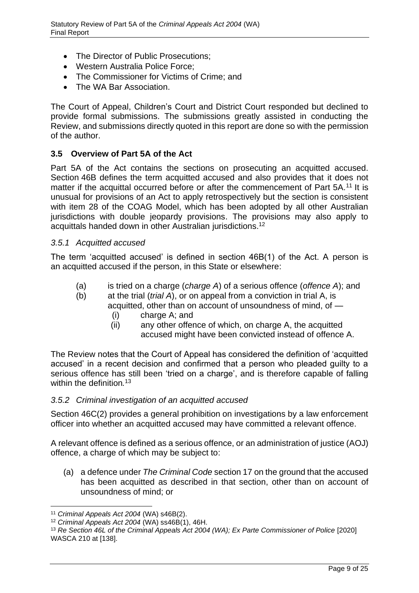- The Director of Public Prosecutions;
- Western Australia Police Force;
- The Commissioner for Victims of Crime; and
- The WA Bar Association.

The Court of Appeal, Children's Court and District Court responded but declined to provide formal submissions. The submissions greatly assisted in conducting the Review, and submissions directly quoted in this report are done so with the permission of the author.

## <span id="page-8-0"></span>**3.5 Overview of Part 5A of the Act**

Part 5A of the Act contains the sections on prosecuting an acquitted accused. Section 46B defines the term acquitted accused and also provides that it does not matter if the acquittal occurred before or after the commencement of Part 5A.<sup>11</sup> It is unusual for provisions of an Act to apply retrospectively but the section is consistent with item 28 of the COAG Model, which has been adopted by all other Australian jurisdictions with double jeopardy provisions. The provisions may also apply to acquittals handed down in other Australian jurisdictions.<sup>12</sup>

#### <span id="page-8-1"></span>*3.5.1 Acquitted accused*

The term 'acquitted accused' is defined in section 46B(1) of the Act. A person is an acquitted accused if the person, in this State or elsewhere:

- (a) is tried on a charge (*charge A*) of a serious offence (*offence A*); and
- (b) at the trial (*trial A*), or on appeal from a conviction in trial A, is acquitted, other than on account of unsoundness of mind, of —
	- (i) charge A; and
	- (ii) any other offence of which, on charge A, the acquitted accused might have been convicted instead of offence A.

The Review notes that the Court of Appeal has considered the definition of 'acquitted accused' in a recent decision and confirmed that a person who pleaded guilty to a serious offence has still been 'tried on a charge', and is therefore capable of falling within the definition*.* 13

#### <span id="page-8-2"></span>*3.5.2 Criminal investigation of an acquitted accused*

Section 46C(2) provides a general prohibition on investigations by a law enforcement officer into whether an acquitted accused may have committed a relevant offence.

A relevant offence is defined as a serious offence, or an administration of justice (AOJ) offence, a charge of which may be subject to:

(a) a defence under *The Criminal Code* section 17 on the ground that the accused has been acquitted as described in that section, other than on account of unsoundness of mind; or

<sup>11</sup> *Criminal Appeals Act 2004* (WA) s46B(2).

<sup>12</sup> *Criminal Appeals Act 2004* (WA) ss46B(1), 46H.

<sup>13</sup> *Re Section 46L of the Criminal Appeals Act 2004 (WA); Ex Parte Commissioner of Police* [2020] WASCA 210 at [138].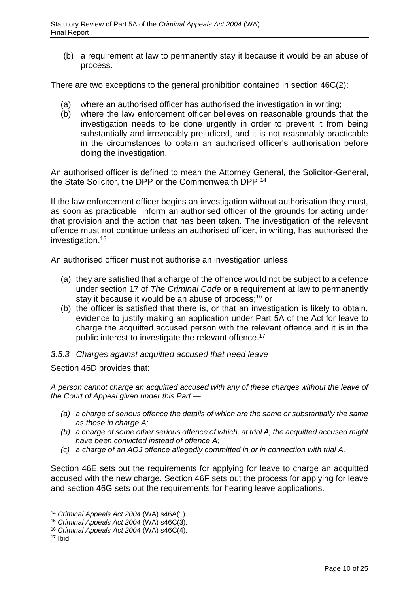(b) a requirement at law to permanently stay it because it would be an abuse of process.

There are two exceptions to the general prohibition contained in section 46C(2):

- (a) where an authorised officer has authorised the investigation in writing;
- (b) where the law enforcement officer believes on reasonable grounds that the investigation needs to be done urgently in order to prevent it from being substantially and irrevocably prejudiced, and it is not reasonably practicable in the circumstances to obtain an authorised officer's authorisation before doing the investigation.

An authorised officer is defined to mean the Attorney General, the Solicitor-General, the State Solicitor, the DPP or the Commonwealth DPP.<sup>14</sup>

If the law enforcement officer begins an investigation without authorisation they must, as soon as practicable, inform an authorised officer of the grounds for acting under that provision and the action that has been taken. The investigation of the relevant offence must not continue unless an authorised officer, in writing, has authorised the investigation.<sup>15</sup>

An authorised officer must not authorise an investigation unless:

- (a) they are satisfied that a charge of the offence would not be subject to a defence under section 17 of *The Criminal Code* or a requirement at law to permanently stay it because it would be an abuse of process; <sup>16</sup> or
- (b) the officer is satisfied that there is, or that an investigation is likely to obtain, evidence to justify making an application under Part 5A of the Act for leave to charge the acquitted accused person with the relevant offence and it is in the public interest to investigate the relevant offence.<sup>17</sup>

#### <span id="page-9-0"></span>*3.5.3 Charges against acquitted accused that need leave*

Section 46D provides that:

*A person cannot charge an acquitted accused with any of these charges without the leave of the Court of Appeal given under this Part —*

- *(a) a charge of serious offence the details of which are the same or substantially the same as those in charge A;*
- *(b) a charge of some other serious offence of which, at trial A, the acquitted accused might have been convicted instead of offence A;*
- *(c) a charge of an AOJ offence allegedly committed in or in connection with trial A.*

Section 46E sets out the requirements for applying for leave to charge an acquitted accused with the new charge. Section 46F sets out the process for applying for leave and section 46G sets out the requirements for hearing leave applications.

<sup>14</sup> *Criminal Appeals Act 2004* (WA) s46A(1).

<sup>15</sup> *Criminal Appeals Act 2004* (WA) s46C(3).

<sup>16</sup> *Criminal Appeals Act 2004* (WA) s46C(4).

 $17$  Ibid.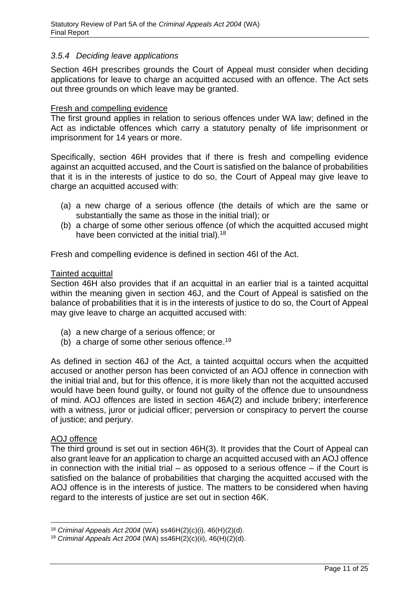#### <span id="page-10-0"></span>*3.5.4 Deciding leave applications*

Section 46H prescribes grounds the Court of Appeal must consider when deciding applications for leave to charge an acquitted accused with an offence. The Act sets out three grounds on which leave may be granted.

#### Fresh and compelling evidence

The first ground applies in relation to serious offences under WA law; defined in the Act as indictable offences which carry a statutory penalty of life imprisonment or imprisonment for 14 years or more.

Specifically, section 46H provides that if there is fresh and compelling evidence against an acquitted accused, and the Court is satisfied on the balance of probabilities that it is in the interests of justice to do so, the Court of Appeal may give leave to charge an acquitted accused with:

- (a) a new charge of a serious offence (the details of which are the same or substantially the same as those in the initial trial); or
- (b) a charge of some other serious offence (of which the acquitted accused might have been convicted at the initial trial).<sup>18</sup>

Fresh and compelling evidence is defined in section 46I of the Act.

#### Tainted acquittal

Section 46H also provides that if an acquittal in an earlier trial is a tainted acquittal within the meaning given in section 46J, and the Court of Appeal is satisfied on the balance of probabilities that it is in the interests of justice to do so, the Court of Appeal may give leave to charge an acquitted accused with:

- (a) a new charge of a serious offence; or
- (b) a charge of some other serious offence.<sup>19</sup>

As defined in section 46J of the Act, a tainted acquittal occurs when the acquitted accused or another person has been convicted of an AOJ offence in connection with the initial trial and, but for this offence, it is more likely than not the acquitted accused would have been found guilty, or found not guilty of the offence due to unsoundness of mind. AOJ offences are listed in section 46A(2) and include bribery; interference with a witness, juror or judicial officer; perversion or conspiracy to pervert the course of justice; and perjury.

#### AOJ offence

The third ground is set out in section 46H(3). It provides that the Court of Appeal can also grant leave for an application to charge an acquitted accused with an AOJ offence in connection with the initial trial – as opposed to a serious offence – if the Court is satisfied on the balance of probabilities that charging the acquitted accused with the AOJ offence is in the interests of justice. The matters to be considered when having regard to the interests of justice are set out in section 46K.

<sup>18</sup> *Criminal Appeals Act 2004* (WA) ss46H(2)(c)(i), 46(H)(2)(d).

<sup>19</sup> *Criminal Appeals Act 2004* (WA) ss46H(2)(c)(ii), 46(H)(2)(d).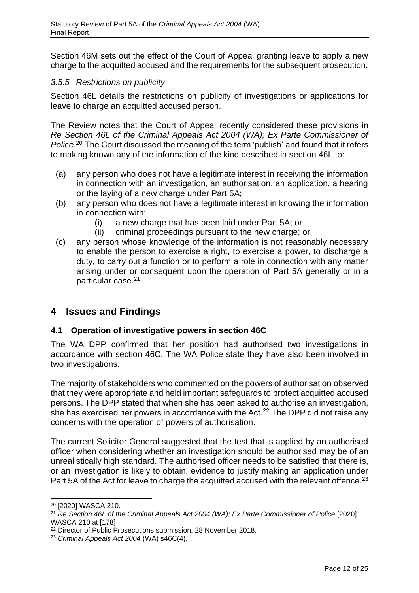Section 46M sets out the effect of the Court of Appeal granting leave to apply a new charge to the acquitted accused and the requirements for the subsequent prosecution.

## <span id="page-11-0"></span>*3.5.5 Restrictions on publicity*

Section 46L details the restrictions on publicity of investigations or applications for leave to charge an acquitted accused person.

The Review notes that the Court of Appeal recently considered these provisions in *Re Section 46L of the Criminal Appeals Act 2004 (WA); Ex Parte Commissioner of Police.*<sup>20</sup> The Court discussed the meaning of the term 'publish' and found that it refers to making known any of the information of the kind described in section 46L to:

- (a) any person who does not have a legitimate interest in receiving the information in connection with an investigation, an authorisation, an application, a hearing or the laying of a new charge under Part 5A;
- (b) any person who does not have a legitimate interest in knowing the information in connection with:
	- (i) a new charge that has been laid under Part 5A; or
	- (ii) criminal proceedings pursuant to the new charge; or
- (c) any person whose knowledge of the information is not reasonably necessary to enable the person to exercise a right, to exercise a power, to discharge a duty, to carry out a function or to perform a role in connection with any matter arising under or consequent upon the operation of Part 5A generally or in a particular case.<sup>21</sup>

# <span id="page-11-1"></span>**4 Issues and Findings**

#### <span id="page-11-2"></span>**4.1 Operation of investigative powers in section 46C**

The WA DPP confirmed that her position had authorised two investigations in accordance with section 46C. The WA Police state they have also been involved in two investigations.

The majority of stakeholders who commented on the powers of authorisation observed that they were appropriate and held important safeguards to protect acquitted accused persons. The DPP stated that when she has been asked to authorise an investigation, she has exercised her powers in accordance with the Act.<sup>22</sup> The DPP did not raise any concerns with the operation of powers of authorisation.

The current Solicitor General suggested that the test that is applied by an authorised officer when considering whether an investigation should be authorised may be of an unrealistically high standard. The authorised officer needs to be satisfied that there is, or an investigation is likely to obtain, evidence to justify making an application under Part 5A of the Act for leave to charge the acquitted accused with the relevant offence.<sup>23</sup>

<sup>20</sup> [2020] WASCA 210.

<sup>21</sup> *Re Section 46L of the Criminal Appeals Act 2004 (WA); Ex Parte Commissioner of Police* [2020] WASCA 210 at [178]

<sup>22</sup> Director of Public Prosecutions submission, 28 November 2018.

<sup>23</sup> *Criminal Appeals Act 2004* (WA) s46C(4).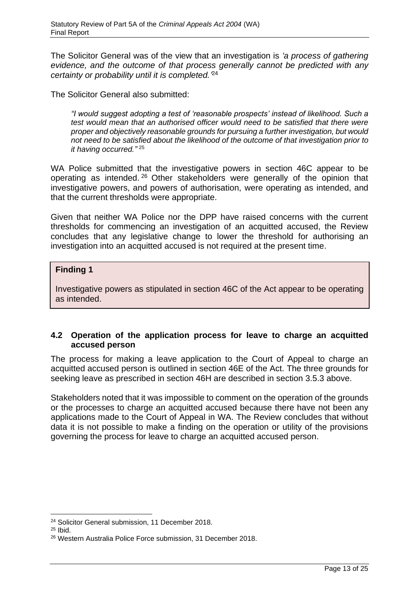The Solicitor General was of the view that an investigation is *'a process of gathering evidence, and the outcome of that process generally cannot be predicted with any certainty or probability until it is completed.'* 24

The Solicitor General also submitted:

*"I would suggest adopting a test of 'reasonable prospects' instead of likelihood. Such a test would mean that an authorised officer would need to be satisfied that there were proper and objectively reasonable grounds for pursuing a further investigation, but would not need to be satisfied about the likelihood of the outcome of that investigation prior to it having occurred."* <sup>25</sup>

WA Police submitted that the investigative powers in section 46C appear to be operating as intended. <sup>26</sup> Other stakeholders were generally of the opinion that investigative powers, and powers of authorisation, were operating as intended, and that the current thresholds were appropriate.

Given that neither WA Police nor the DPP have raised concerns with the current thresholds for commencing an investigation of an acquitted accused, the Review concludes that any legislative change to lower the threshold for authorising an investigation into an acquitted accused is not required at the present time.

#### **Finding 1**

Investigative powers as stipulated in section 46C of the Act appear to be operating as intended.

# <span id="page-12-0"></span>**4.2 Operation of the application process for leave to charge an acquitted accused person**

The process for making a leave application to the Court of Appeal to charge an acquitted accused person is outlined in section 46E of the Act. The three grounds for seeking leave as prescribed in section 46H are described in section 3.5.3 above.

Stakeholders noted that it was impossible to comment on the operation of the grounds or the processes to charge an acquitted accused because there have not been any applications made to the Court of Appeal in WA. The Review concludes that without data it is not possible to make a finding on the operation or utility of the provisions governing the process for leave to charge an acquitted accused person.

<sup>24</sup> Solicitor General submission, 11 December 2018.

 $25$  Ibid.

<sup>26</sup> Western Australia Police Force submission, 31 December 2018.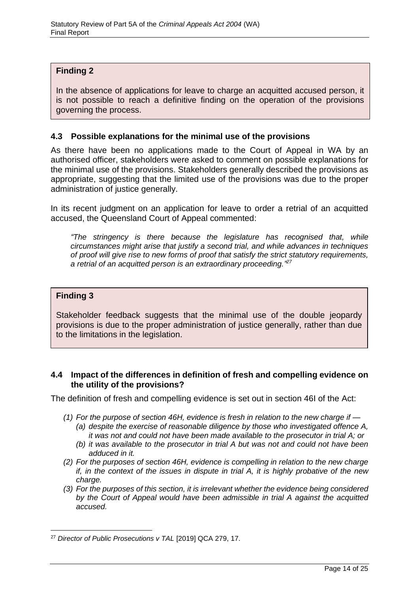# **Finding 2**

In the absence of applications for leave to charge an acquitted accused person, it is not possible to reach a definitive finding on the operation of the provisions governing the process.

#### <span id="page-13-0"></span>**4.3 Possible explanations for the minimal use of the provisions**

As there have been no applications made to the Court of Appeal in WA by an authorised officer, stakeholders were asked to comment on possible explanations for the minimal use of the provisions. Stakeholders generally described the provisions as appropriate, suggesting that the limited use of the provisions was due to the proper administration of justice generally.

In its recent judgment on an application for leave to order a retrial of an acquitted accused, the Queensland Court of Appeal commented:

*"The stringency is there because the legislature has recognised that, while circumstances might arise that justify a second trial, and while advances in techniques of proof will give rise to new forms of proof that satisfy the strict statutory requirements, a retrial of an acquitted person is an extraordinary proceeding." 27*

#### **Finding 3**

Stakeholder feedback suggests that the minimal use of the double jeopardy provisions is due to the proper administration of justice generally, rather than due to the limitations in the legislation.

#### <span id="page-13-1"></span>**4.4 Impact of the differences in definition of fresh and compelling evidence on the utility of the provisions?**

The definition of fresh and compelling evidence is set out in section 46I of the Act:

- *(1) For the purpose of section 46H, evidence is fresh in relation to the new charge if — (a) despite the exercise of reasonable diligence by those who investigated offence A,* 
	- *it was not and could not have been made available to the prosecutor in trial A; or*
	- *(b) it was available to the prosecutor in trial A but was not and could not have been adduced in it.*
- *(2) For the purposes of section 46H, evidence is compelling in relation to the new charge if, in the context of the issues in dispute in trial A, it is highly probative of the new charge.*
- *(3) For the purposes of this section, it is irrelevant whether the evidence being considered by the Court of Appeal would have been admissible in trial A against the acquitted accused.*

<sup>&</sup>lt;sup>27</sup> Director of Public Prosecutions v TAL [2019] QCA 279, 17.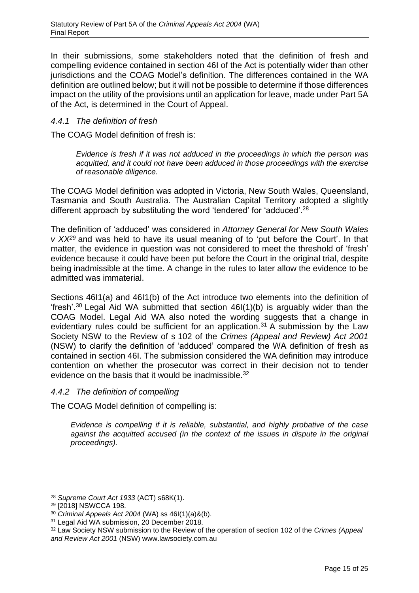In their submissions, some stakeholders noted that the definition of fresh and compelling evidence contained in section 46I of the Act is potentially wider than other jurisdictions and the COAG Model's definition. The differences contained in the WA definition are outlined below; but it will not be possible to determine if those differences impact on the utility of the provisions until an application for leave, made under Part 5A of the Act, is determined in the Court of Appeal.

## <span id="page-14-0"></span>*4.4.1 The definition of fresh*

The COAG Model definition of fresh is:

*Evidence is fresh if it was not adduced in the proceedings in which the person was acquitted, and it could not have been adduced in those proceedings with the exercise of reasonable diligence.*

The COAG Model definition was adopted in Victoria, New South Wales, Queensland, Tasmania and South Australia. The Australian Capital Territory adopted a slightly different approach by substituting the word 'tendered' for 'adduced'. $^{28}$ 

The definition of 'adduced' was considered in *Attorney General for New South Wales v XX<sup>29</sup>* and was held to have its usual meaning of to 'put before the Court'. In that matter, the evidence in question was not considered to meet the threshold of 'fresh' evidence because it could have been put before the Court in the original trial, despite being inadmissible at the time. A change in the rules to later allow the evidence to be admitted was immaterial.

Sections 46I1(a) and 46I1(b) of the Act introduce two elements into the definition of 'fresh'.<sup>30</sup> Legal Aid WA submitted that section  $46I(1)(b)$  is arguably wider than the COAG Model. Legal Aid WA also noted the wording suggests that a change in evidentiary rules could be sufficient for an application.<sup>31</sup> A submission by the Law Society NSW to the Review of s 102 of the *Crimes (Appeal and Review) Act 2001*  (NSW) to clarify the definition of 'adduced' compared the WA definition of fresh as contained in section 46I. The submission considered the WA definition may introduce contention on whether the prosecutor was correct in their decision not to tender evidence on the basis that it would be inadmissible.<sup>32</sup>

#### <span id="page-14-1"></span>*4.4.2 The definition of compelling*

The COAG Model definition of compelling is:

*Evidence is compelling if it is reliable, substantial, and highly probative of the case against the acquitted accused (in the context of the issues in dispute in the original proceedings).*

<sup>28</sup> *Supreme Court Act 1933* (ACT) s68K(1).

<sup>29</sup> [2018] NSWCCA 198.

<sup>30</sup> *Criminal Appeals Act 2004* (WA) ss 46I(1)(a)&(b).

<sup>31</sup> Legal Aid WA submission, 20 December 2018.

<sup>32</sup> Law Society NSW submission to the Review of the operation of section 102 of the *Crimes (Appeal and Review Act 2001* (NSW) www.lawsociety.com.au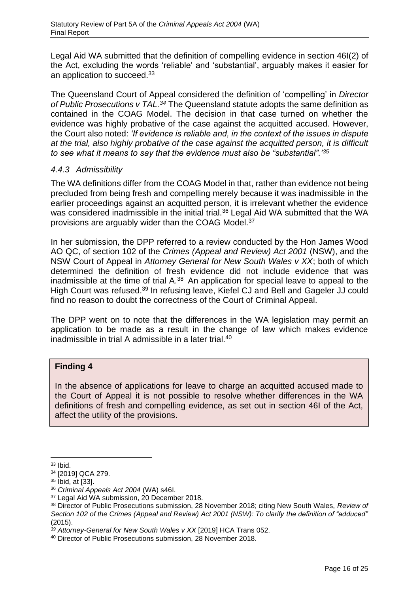Legal Aid WA submitted that the definition of compelling evidence in section 46I(2) of the Act, excluding the words 'reliable' and 'substantial', arguably makes it easier for an application to succeed.<sup>33</sup>

The Queensland Court of Appeal considered the definition of 'compelling' in *Director of Public Prosecutions v TAL.<sup>34</sup>* The Queensland statute adopts the same definition as contained in the COAG Model. The decision in that case turned on whether the evidence was highly probative of the case against the acquitted accused. However, the Court also noted: *'If evidence is reliable and, in the context of the issues in dispute at the trial, also highly probative of the case against the acquitted person, it is difficult to see what it means to say that the evidence must also be "substantial".'<sup>35</sup>*

## <span id="page-15-0"></span>*4.4.3 Admissibility*

The WA definitions differ from the COAG Model in that, rather than evidence not being precluded from being fresh and compelling merely because it was inadmissible in the earlier proceedings against an acquitted person, it is irrelevant whether the evidence was considered inadmissible in the initial trial.<sup>36</sup> Legal Aid WA submitted that the WA provisions are arguably wider than the COAG Model.<sup>37</sup>

In her submission, the DPP referred to a review conducted by the Hon James Wood AO QC, of section 102 of the *Crimes (Appeal and Review) Act 2001* (NSW), and the NSW Court of Appeal in *Attorney General for New South Wales v XX*; both of which determined the definition of fresh evidence did not include evidence that was inadmissible at the time of trial  $A^{38}$  An application for special leave to appeal to the High Court was refused.<sup>39</sup> In refusing leave, Kiefel CJ and Bell and Gageler JJ could find no reason to doubt the correctness of the Court of Criminal Appeal.

The DPP went on to note that the differences in the WA legislation may permit an application to be made as a result in the change of law which makes evidence inadmissible in trial A admissible in a later trial.<sup>40</sup>

# **Finding 4**

In the absence of applications for leave to charge an acquitted accused made to the Court of Appeal it is not possible to resolve whether differences in the WA definitions of fresh and compelling evidence, as set out in section 46I of the Act, affect the utility of the provisions.

<sup>33</sup> Ibid.

<sup>34</sup> [2019] QCA 279.

<sup>35</sup> Ibid, at [33].

<sup>36</sup> *Criminal Appeals Act 2004* (WA) s46I.

<sup>37</sup> Legal Aid WA submission, 20 December 2018.

<sup>38</sup> Director of Public Prosecutions submission, 28 November 2018; citing New South Wales, *Review of Section 102 of the Crimes (Appeal and Review) Act 2001 (NSW): To clarify the definition of "adduced"* (2015).

*<sup>39</sup> Attorney-General for New South Wales v XX* [2019] HCA Trans 052.

<sup>40</sup> Director of Public Prosecutions submission, 28 November 2018.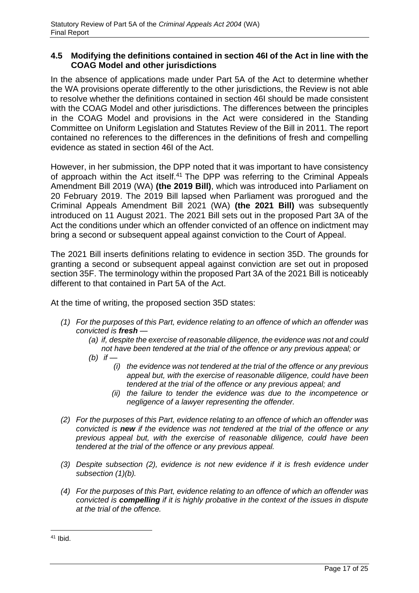#### <span id="page-16-0"></span>**4.5 Modifying the definitions contained in section 46I of the Act in line with the COAG Model and other jurisdictions**

In the absence of applications made under Part 5A of the Act to determine whether the WA provisions operate differently to the other jurisdictions, the Review is not able to resolve whether the definitions contained in section 46I should be made consistent with the COAG Model and other jurisdictions. The differences between the principles in the COAG Model and provisions in the Act were considered in the Standing Committee on Uniform Legislation and Statutes Review of the Bill in 2011. The report contained no references to the differences in the definitions of fresh and compelling evidence as stated in section 46I of the Act.

However, in her submission, the DPP noted that it was important to have consistency of approach within the Act itself.<sup>41</sup> The DPP was referring to the Criminal Appeals Amendment Bill 2019 (WA) **(the 2019 Bill)**, which was introduced into Parliament on 20 February 2019. The 2019 Bill lapsed when Parliament was prorogued and the Criminal Appeals Amendment Bill 2021 (WA) **(the 2021 Bill)** was subsequently introduced on 11 August 2021. The 2021 Bill sets out in the proposed Part 3A of the Act the conditions under which an offender convicted of an offence on indictment may bring a second or subsequent appeal against conviction to the Court of Appeal.

The 2021 Bill inserts definitions relating to evidence in section 35D. The grounds for granting a second or subsequent appeal against conviction are set out in proposed section 35F. The terminology within the proposed Part 3A of the 2021 Bill is noticeably different to that contained in Part 5A of the Act.

At the time of writing, the proposed section 35D states:

- *(1) For the purposes of this Part, evidence relating to an offence of which an offender was convicted is fresh —*
	- *(a) if, despite the exercise of reasonable diligence, the evidence was not and could not have been tendered at the trial of the offence or any previous appeal; or*
	- *(b) if —*
		- *(i) the evidence was not tendered at the trial of the offence or any previous appeal but, with the exercise of reasonable diligence, could have been tendered at the trial of the offence or any previous appeal; and*
		- *(ii) the failure to tender the evidence was due to the incompetence or negligence of a lawyer representing the offender.*
- *(2) For the purposes of this Part, evidence relating to an offence of which an offender was convicted is new if the evidence was not tendered at the trial of the offence or any previous appeal but, with the exercise of reasonable diligence, could have been tendered at the trial of the offence or any previous appeal.*
- *(3) Despite subsection (2), evidence is not new evidence if it is fresh evidence under subsection (1)(b).*
- *(4) For the purposes of this Part, evidence relating to an offence of which an offender was convicted is compelling if it is highly probative in the context of the issues in dispute at the trial of the offence.*

<sup>41</sup> Ibid.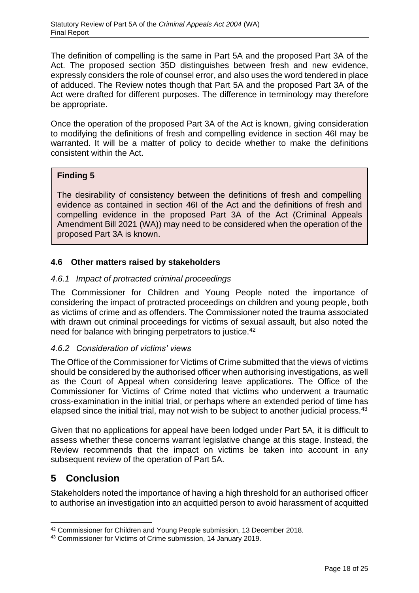The definition of compelling is the same in Part 5A and the proposed Part 3A of the Act. The proposed section 35D distinguishes between fresh and new evidence, expressly considers the role of counsel error, and also uses the word tendered in place of adduced. The Review notes though that Part 5A and the proposed Part 3A of the Act were drafted for different purposes. The difference in terminology may therefore be appropriate.

Once the operation of the proposed Part 3A of the Act is known, giving consideration to modifying the definitions of fresh and compelling evidence in section 46I may be warranted. It will be a matter of policy to decide whether to make the definitions consistent within the Act.

# **Finding 5**

The desirability of consistency between the definitions of fresh and compelling evidence as contained in section 46I of the Act and the definitions of fresh and compelling evidence in the proposed Part 3A of the Act (Criminal Appeals Amendment Bill 2021 (WA)) may need to be considered when the operation of the proposed Part 3A is known.

# <span id="page-17-0"></span>**4.6 Other matters raised by stakeholders**

## <span id="page-17-1"></span>*4.6.1 Impact of protracted criminal proceedings*

The Commissioner for Children and Young People noted the importance of considering the impact of protracted proceedings on children and young people, both as victims of crime and as offenders. The Commissioner noted the trauma associated with drawn out criminal proceedings for victims of sexual assault, but also noted the need for balance with bringing perpetrators to justice.<sup>42</sup>

#### <span id="page-17-2"></span>*4.6.2 Consideration of victims' views*

The Office of the Commissioner for Victims of Crime submitted that the views of victims should be considered by the authorised officer when authorising investigations, as well as the Court of Appeal when considering leave applications. The Office of the Commissioner for Victims of Crime noted that victims who underwent a traumatic cross-examination in the initial trial, or perhaps where an extended period of time has elapsed since the initial trial, may not wish to be subject to another judicial process.<sup>43</sup>

Given that no applications for appeal have been lodged under Part 5A, it is difficult to assess whether these concerns warrant legislative change at this stage. Instead, the Review recommends that the impact on victims be taken into account in any subsequent review of the operation of Part 5A.

# <span id="page-17-3"></span>**5 Conclusion**

Stakeholders noted the importance of having a high threshold for an authorised officer to authorise an investigation into an acquitted person to avoid harassment of acquitted

<sup>42</sup> Commissioner for Children and Young People submission, 13 December 2018.

<sup>43</sup> Commissioner for Victims of Crime submission, 14 January 2019.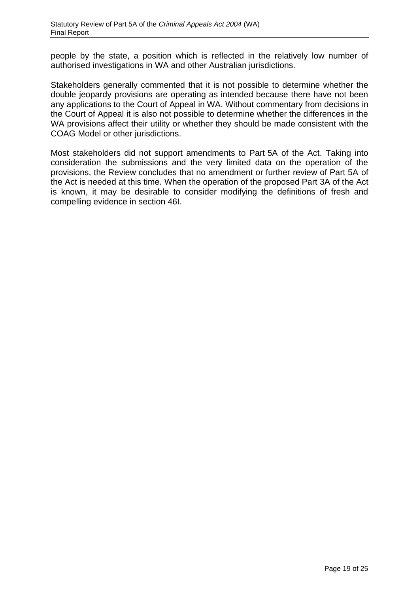people by the state, a position which is reflected in the relatively low number of authorised investigations in WA and other Australian jurisdictions.

Stakeholders generally commented that it is not possible to determine whether the double jeopardy provisions are operating as intended because there have not been any applications to the Court of Appeal in WA. Without commentary from decisions in the Court of Appeal it is also not possible to determine whether the differences in the WA provisions affect their utility or whether they should be made consistent with the COAG Model or other jurisdictions.

Most stakeholders did not support amendments to Part 5A of the Act. Taking into consideration the submissions and the very limited data on the operation of the provisions, the Review concludes that no amendment or further review of Part 5A of the Act is needed at this time. When the operation of the proposed Part 3A of the Act is known, it may be desirable to consider modifying the definitions of fresh and compelling evidence in section 46I.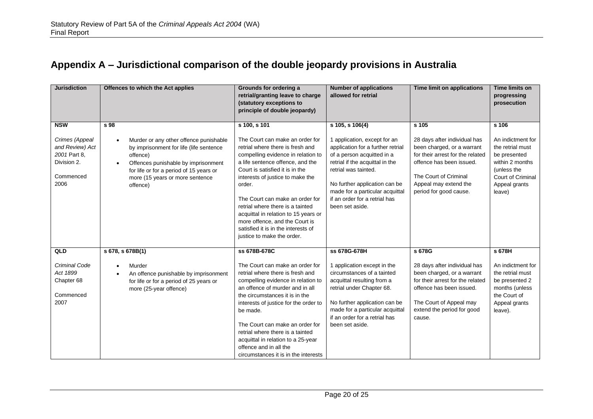# **Appendix A – Jurisdictional comparison of the double jeopardy provisions in Australia**

<span id="page-19-0"></span>

| <b>Jurisdiction</b>                                                                                 | Offences to which the Act applies                                                                                                                                                                                                                                | Grounds for ordering a<br>retrial/granting leave to charge<br>(statutory exceptions to<br>principle of double jeopardy)                                                                                                                                                                                                                                                                                                                                              | <b>Number of applications</b><br>allowed for retrial                                                                                                                                                                                                                                                  | <b>Time limit on applications</b>                                                                                                                                                                               | <b>Time limits on</b><br>progressing<br>prosecution                                                                                                     |
|-----------------------------------------------------------------------------------------------------|------------------------------------------------------------------------------------------------------------------------------------------------------------------------------------------------------------------------------------------------------------------|----------------------------------------------------------------------------------------------------------------------------------------------------------------------------------------------------------------------------------------------------------------------------------------------------------------------------------------------------------------------------------------------------------------------------------------------------------------------|-------------------------------------------------------------------------------------------------------------------------------------------------------------------------------------------------------------------------------------------------------------------------------------------------------|-----------------------------------------------------------------------------------------------------------------------------------------------------------------------------------------------------------------|---------------------------------------------------------------------------------------------------------------------------------------------------------|
| <b>NSW</b><br>Crimes (Appeal<br>and Review) Act<br>2001 Part 8.<br>Division 2.<br>Commenced<br>2006 | s 98<br>Murder or any other offence punishable<br>$\bullet$<br>by imprisonment for life (life sentence<br>offence)<br>Offences punishable by imprisonment<br>$\bullet$<br>for life or for a period of 15 years or<br>more (15 years or more sentence<br>offence) | s 100, s 101<br>The Court can make an order for<br>retrial where there is fresh and<br>compelling evidence in relation to<br>a life sentence offence, and the<br>Court is satisfied it is in the<br>interests of justice to make the<br>order.<br>The Court can make an order for<br>retrial where there is a tainted<br>acquittal in relation to 15 years or<br>more offence, and the Court is<br>satisfied it is in the interests of<br>justice to make the order. | s 105, s 106(4)<br>1 application, except for an<br>application for a further retrial<br>of a person acquitted in a<br>retrial if the acquittal in the<br>retrial was tainted.<br>No further application can be<br>made for a particular acquittal<br>if an order for a retrial has<br>been set aside. | s 105<br>28 days after individual has<br>been charged, or a warrant<br>for their arrest for the related<br>offence has been issued.<br>The Court of Criminal<br>Appeal may extend the<br>period for good cause. | s 106<br>An indictment for<br>the retrial must<br>be presented<br>within 2 months<br>(unless the<br><b>Court of Criminal</b><br>Appeal grants<br>leave) |
| QLD                                                                                                 | s 678, s 678B(1)                                                                                                                                                                                                                                                 | ss 678B-678C                                                                                                                                                                                                                                                                                                                                                                                                                                                         | ss 678G-678H                                                                                                                                                                                                                                                                                          | s 678G                                                                                                                                                                                                          | s 678H                                                                                                                                                  |
| Criminal Code<br>Act 1899<br>Chapter 68<br>Commenced<br>2007                                        | Murder<br>An offence punishable by imprisonment<br>$\bullet$<br>for life or for a period of 25 years or<br>more (25-year offence)                                                                                                                                | The Court can make an order for<br>retrial where there is fresh and<br>compelling evidence in relation to<br>an offence of murder and in all<br>the circumstances it is in the<br>interests of justice for the order to<br>be made.<br>The Court can make an order for<br>retrial where there is a tainted<br>acquittal in relation to a 25-year<br>offence and in all the<br>circumstances it is in the interests                                                   | 1 application except in the<br>circumstances of a tainted<br>acquittal resulting from a<br>retrial under Chapter 68.<br>No further application can be<br>made for a particular acquittal<br>if an order for a retrial has<br>been set aside.                                                          | 28 days after individual has<br>been charged, or a warrant<br>for their arrest for the related<br>offence has been issued.<br>The Court of Appeal may<br>extend the period for good<br>cause.                   | An indictment for<br>the retrial must<br>be presented 2<br>months (unless<br>the Court of<br>Appeal grants<br>leave).                                   |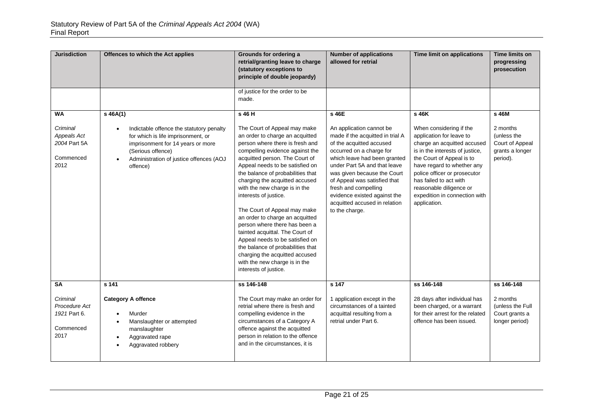| <b>Jurisdiction</b>                                            | Offences to which the Act applies                                                                                                                                                                                         | Grounds for ordering a<br>retrial/granting leave to charge<br>(statutory exceptions to<br>principle of double jeopardy)                                                                                                                                                                                                                                                                                                                                                                                                                                                                                                                                | <b>Number of applications</b><br>allowed for retrial                                                                                                                                                                                                                                                                                                           | <b>Time limit on applications</b>                                                                                                                                                                                                                                                                                      | Time limits on<br>progressing<br>prosecution                              |
|----------------------------------------------------------------|---------------------------------------------------------------------------------------------------------------------------------------------------------------------------------------------------------------------------|--------------------------------------------------------------------------------------------------------------------------------------------------------------------------------------------------------------------------------------------------------------------------------------------------------------------------------------------------------------------------------------------------------------------------------------------------------------------------------------------------------------------------------------------------------------------------------------------------------------------------------------------------------|----------------------------------------------------------------------------------------------------------------------------------------------------------------------------------------------------------------------------------------------------------------------------------------------------------------------------------------------------------------|------------------------------------------------------------------------------------------------------------------------------------------------------------------------------------------------------------------------------------------------------------------------------------------------------------------------|---------------------------------------------------------------------------|
|                                                                |                                                                                                                                                                                                                           | of justice for the order to be<br>made.                                                                                                                                                                                                                                                                                                                                                                                                                                                                                                                                                                                                                |                                                                                                                                                                                                                                                                                                                                                                |                                                                                                                                                                                                                                                                                                                        |                                                                           |
| <b>WA</b>                                                      | $s$ 46A(1)                                                                                                                                                                                                                | s 46 H                                                                                                                                                                                                                                                                                                                                                                                                                                                                                                                                                                                                                                                 | s 46E                                                                                                                                                                                                                                                                                                                                                          | s 46K                                                                                                                                                                                                                                                                                                                  | s 46M                                                                     |
| Criminal<br>Appeals Act<br>2004 Part 5A<br>Commenced<br>2012   | Indictable offence the statutory penalty<br>$\bullet$<br>for which is life imprisonment, or<br>imprisonment for 14 years or more<br>(Serious offence)<br>Administration of justice offences (AOJ<br>$\bullet$<br>offence) | The Court of Appeal may make<br>an order to charge an acquitted<br>person where there is fresh and<br>compelling evidence against the<br>acquitted person. The Court of<br>Appeal needs to be satisfied on<br>the balance of probabilities that<br>charging the acquitted accused<br>with the new charge is in the<br>interests of justice.<br>The Court of Appeal may make<br>an order to charge an acquitted<br>person where there has been a<br>tainted acquittal. The Court of<br>Appeal needs to be satisfied on<br>the balance of probabilities that<br>charging the acquitted accused<br>with the new charge is in the<br>interests of justice. | An application cannot be<br>made if the acquitted in trial A<br>of the acquitted accused<br>occurred on a charge for<br>which leave had been granted<br>under Part 5A and that leave<br>was given because the Court<br>of Appeal was satisfied that<br>fresh and compelling<br>evidence existed against the<br>acquitted accused in relation<br>to the charge. | When considering if the<br>application for leave to<br>charge an acquitted accused<br>is in the interests of justice,<br>the Court of Appeal is to<br>have regard to whether any<br>police officer or prosecutor<br>has failed to act with<br>reasonable diligence or<br>expedition in connection with<br>application. | 2 months<br>(unless the<br>Court of Appeal<br>grants a longer<br>period). |
| <b>SA</b>                                                      | s 141                                                                                                                                                                                                                     | ss 146-148                                                                                                                                                                                                                                                                                                                                                                                                                                                                                                                                                                                                                                             | s 147                                                                                                                                                                                                                                                                                                                                                          | ss 146-148                                                                                                                                                                                                                                                                                                             | ss 146-148                                                                |
| Criminal<br>Procedure Act<br>1921 Part 6.<br>Commenced<br>2017 | <b>Category A offence</b><br>Murder<br>Manslaughter or attempted<br>manslaughter<br>Aggravated rape<br>$\bullet$<br>Aggravated robbery<br>$\bullet$                                                                       | The Court may make an order for<br>retrial where there is fresh and<br>compelling evidence in the<br>circumstances of a Category A<br>offence against the acquitted<br>person in relation to the offence<br>and in the circumstances, it is                                                                                                                                                                                                                                                                                                                                                                                                            | 1 application except in the<br>circumstances of a tainted<br>acquittal resulting from a<br>retrial under Part 6.                                                                                                                                                                                                                                               | 28 days after individual has<br>been charged, or a warrant<br>for their arrest for the related<br>offence has been issued.                                                                                                                                                                                             | 2 months<br>(unless the Full<br>Court grants a<br>longer period)          |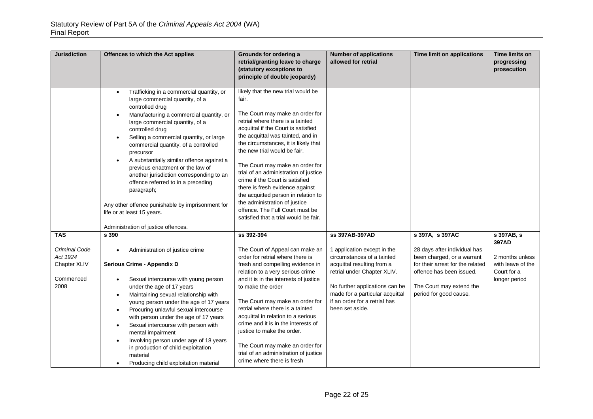| <b>Jurisdiction</b>                                            | Offences to which the Act applies                                                                                                                                                                                                                                                                                                                                                                                                                                                                                                                                                                                                   | Grounds for ordering a<br>retrial/granting leave to charge<br>(statutory exceptions to<br>principle of double jeopardy)                                                                                                                                                                                                                                                                                                                                                                                                                                                      | <b>Number of applications</b><br>allowed for retrial                                                                                                                                                                                            | Time limit on applications                                                                                                                                                       | Time limits on<br>progressing<br>prosecution                                  |
|----------------------------------------------------------------|-------------------------------------------------------------------------------------------------------------------------------------------------------------------------------------------------------------------------------------------------------------------------------------------------------------------------------------------------------------------------------------------------------------------------------------------------------------------------------------------------------------------------------------------------------------------------------------------------------------------------------------|------------------------------------------------------------------------------------------------------------------------------------------------------------------------------------------------------------------------------------------------------------------------------------------------------------------------------------------------------------------------------------------------------------------------------------------------------------------------------------------------------------------------------------------------------------------------------|-------------------------------------------------------------------------------------------------------------------------------------------------------------------------------------------------------------------------------------------------|----------------------------------------------------------------------------------------------------------------------------------------------------------------------------------|-------------------------------------------------------------------------------|
|                                                                | Trafficking in a commercial quantity, or<br>$\bullet$<br>large commercial quantity, of a<br>controlled drug<br>Manufacturing a commercial quantity, or<br>$\bullet$<br>large commercial quantity, of a<br>controlled drug<br>Selling a commercial quantity, or large<br>commercial quantity, of a controlled<br>precursor<br>A substantially similar offence against a<br>previous enactment or the law of<br>another jurisdiction corresponding to an<br>offence referred to in a preceding<br>paragraph;<br>Any other offence punishable by imprisonment for<br>life or at least 15 years.<br>Administration of justice offences. | likely that the new trial would be<br>fair.<br>The Court may make an order for<br>retrial where there is a tainted<br>acquittal if the Court is satisfied<br>the acquittal was tainted, and in<br>the circumstances, it is likely that<br>the new trial would be fair.<br>The Court may make an order for<br>trial of an administration of justice<br>crime if the Court is satisfied<br>there is fresh evidence against<br>the acquitted person in relation to<br>the administration of justice<br>offence. The Full Court must be<br>satisfied that a trial would be fair. |                                                                                                                                                                                                                                                 |                                                                                                                                                                                  |                                                                               |
| <b>TAS</b>                                                     | s 390                                                                                                                                                                                                                                                                                                                                                                                                                                                                                                                                                                                                                               | ss 392-394                                                                                                                                                                                                                                                                                                                                                                                                                                                                                                                                                                   | ss 397AB-397AD                                                                                                                                                                                                                                  | s 397A, s 397AC                                                                                                                                                                  | s 397AB, s                                                                    |
| Criminal Code<br>Act 1924<br>Chapter XLIV<br>Commenced<br>2008 | Administration of justice crime<br>Serious Crime - Appendix D<br>Sexual intercourse with young person<br>$\bullet$<br>under the age of 17 years<br>Maintaining sexual relationship with<br>$\bullet$<br>young person under the age of 17 years<br>Procuring unlawful sexual intercourse<br>$\bullet$<br>with person under the age of 17 years<br>Sexual intercourse with person with<br>$\bullet$<br>mental impairment<br>Involving person under age of 18 years<br>$\bullet$<br>in production of child exploitation<br>material<br>Producing child exploitation material<br>$\bullet$                                              | The Court of Appeal can make an<br>order for retrial where there is<br>fresh and compelling evidence in<br>relation to a very serious crime<br>and it is in the interests of justice<br>to make the order<br>The Court may make an order for<br>retrial where there is a tainted<br>acquittal in relation to a serious<br>crime and it is in the interests of<br>justice to make the order.<br>The Court may make an order for<br>trial of an administration of justice<br>crime where there is fresh                                                                        | 1 application except in the<br>circumstances of a tainted<br>acquittal resulting from a<br>retrial under Chapter XLIV.<br>No further applications can be<br>made for a particular acquittal<br>if an order for a retrial has<br>been set aside. | 28 days after individual has<br>been charged, or a warrant<br>for their arrest for the related<br>offence has been issued.<br>The Court may extend the<br>period for good cause. | 397AD<br>2 months unless<br>with leave of the<br>Court for a<br>longer period |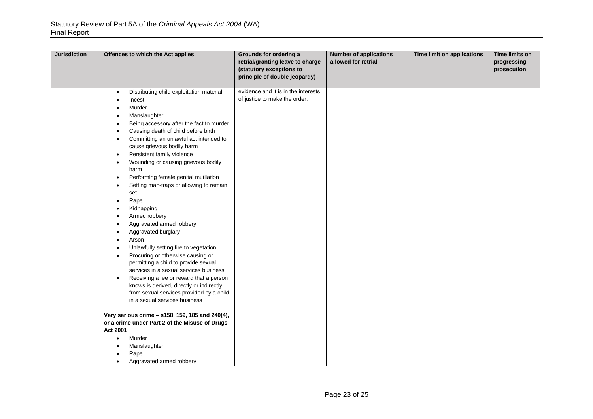| <b>Jurisdiction</b> | Offences to which the Act applies                                                                                                                                                                                                                                                                                                                                                                                                                                                                                                                                                                                                                                                                                                                                                                                                                                                                                                                                                                                                                                                                                                                                                                                   | Grounds for ordering a<br>retrial/granting leave to charge<br>(statutory exceptions to<br>principle of double jeopardy) | <b>Number of applications</b><br>allowed for retrial | Time limit on applications | Time limits on<br>progressing<br>prosecution |
|---------------------|---------------------------------------------------------------------------------------------------------------------------------------------------------------------------------------------------------------------------------------------------------------------------------------------------------------------------------------------------------------------------------------------------------------------------------------------------------------------------------------------------------------------------------------------------------------------------------------------------------------------------------------------------------------------------------------------------------------------------------------------------------------------------------------------------------------------------------------------------------------------------------------------------------------------------------------------------------------------------------------------------------------------------------------------------------------------------------------------------------------------------------------------------------------------------------------------------------------------|-------------------------------------------------------------------------------------------------------------------------|------------------------------------------------------|----------------------------|----------------------------------------------|
|                     | Distributing child exploitation material<br>$\bullet$<br>Incest<br>$\bullet$<br>Murder<br>Manslaughter<br>$\bullet$<br>Being accessory after the fact to murder<br>$\bullet$<br>Causing death of child before birth<br>$\bullet$<br>Committing an unlawful act intended to<br>$\bullet$<br>cause grievous bodily harm<br>Persistent family violence<br>$\bullet$<br>Wounding or causing grievous bodily<br>harm<br>Performing female genital mutilation<br>٠<br>Setting man-traps or allowing to remain<br>set<br>Rape<br>Kidnapping<br>Armed robbery<br>$\bullet$<br>Aggravated armed robbery<br>Aggravated burglary<br>Arson<br>$\bullet$<br>Unlawfully setting fire to vegetation<br>$\bullet$<br>Procuring or otherwise causing or<br>$\bullet$<br>permitting a child to provide sexual<br>services in a sexual services business<br>Receiving a fee or reward that a person<br>knows is derived, directly or indirectly,<br>from sexual services provided by a child<br>in a sexual services business<br>Very serious crime - s158, 159, 185 and 240(4),<br>or a crime under Part 2 of the Misuse of Drugs<br>Act 2001<br>Murder<br>$\bullet$<br>Manslaughter<br>Rape<br>Aggravated armed robbery<br>$\bullet$ | evidence and it is in the interests<br>of justice to make the order.                                                    |                                                      |                            |                                              |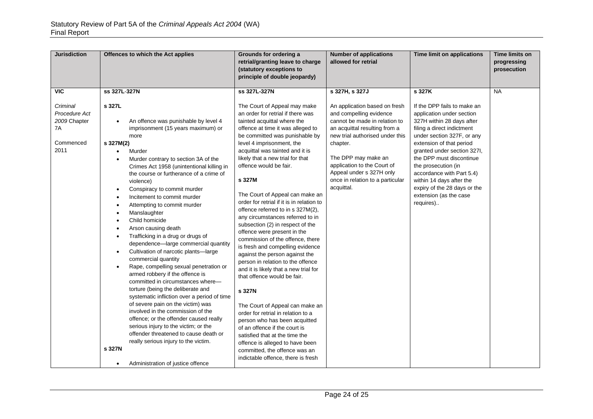| $\overline{MC}$<br>ss 327L-327N<br>ss 327L-327N                                                                                                                                                                                                                                                                                                                                                                                                                                                                                                                                                                                                                                                                                                                                                                                                                                                                                                                                                                                                                                                                                                                                                                                                                                                                                                                                                                                                                                                                                                                                                                                                                                                                                                                                                                                                                                                                                                                  | s 327H, s 327J<br>s 327K<br><b>NA</b><br>If the DPP fails to make an<br>An application based on fresh                                                                                                                                                                                                                                              |  |
|------------------------------------------------------------------------------------------------------------------------------------------------------------------------------------------------------------------------------------------------------------------------------------------------------------------------------------------------------------------------------------------------------------------------------------------------------------------------------------------------------------------------------------------------------------------------------------------------------------------------------------------------------------------------------------------------------------------------------------------------------------------------------------------------------------------------------------------------------------------------------------------------------------------------------------------------------------------------------------------------------------------------------------------------------------------------------------------------------------------------------------------------------------------------------------------------------------------------------------------------------------------------------------------------------------------------------------------------------------------------------------------------------------------------------------------------------------------------------------------------------------------------------------------------------------------------------------------------------------------------------------------------------------------------------------------------------------------------------------------------------------------------------------------------------------------------------------------------------------------------------------------------------------------------------------------------------------------|----------------------------------------------------------------------------------------------------------------------------------------------------------------------------------------------------------------------------------------------------------------------------------------------------------------------------------------------------|--|
| s 327L<br>Criminal<br>The Court of Appeal may make<br>Procedure Act<br>an order for retrial if there was<br>2009 Chapter<br>An offence was punishable by level 4<br>tainted acquittal where the<br>$\bullet$<br>imprisonment (15 years maximum) or<br>7A<br>offence at time it was alleged to<br>be committed was punishable by<br>more<br>Commenced<br>s 327M(2)<br>level 4 imprisonment, the                                                                                                                                                                                                                                                                                                                                                                                                                                                                                                                                                                                                                                                                                                                                                                                                                                                                                                                                                                                                                                                                                                                                                                                                                                                                                                                                                                                                                                                                                                                                                                   | and compelling evidence<br>application under section<br>cannot be made in relation to<br>327H within 28 days after<br>an acquittal resulting from a<br>filing a direct indictment<br>new trial authorised under this<br>under section 327F, or any<br>extension of that period<br>chapter.                                                         |  |
| 2011<br>acquittal was tainted and it is<br>Murder<br>$\bullet$<br>likely that a new trial for that<br>Murder contrary to section 3A of the<br>$\bullet$<br>offence would be fair.<br>Crimes Act 1958 (unintentional killing in<br>the course or furtherance of a crime of<br>s 327M<br>violence)<br>Conspiracy to commit murder<br>$\bullet$<br>The Court of Appeal can make an<br>Incitement to commit murder<br>$\bullet$<br>order for retrial if it is in relation to<br>Attempting to commit murder<br>$\bullet$<br>offence referred to in s 327M(2),<br>Manslaughter<br>$\bullet$<br>any circumstances referred to in<br>Child homicide<br>subsection (2) in respect of the<br>Arson causing death<br>$\bullet$<br>offence were present in the<br>Trafficking in a drug or drugs of<br>$\bullet$<br>commission of the offence, there<br>dependence-large commercial quantity<br>is fresh and compelling evidence<br>Cultivation of narcotic plants-large<br>$\bullet$<br>against the person against the<br>commercial quantity<br>person in relation to the offence<br>Rape, compelling sexual penetration or<br>$\bullet$<br>and it is likely that a new trial for<br>armed robbery if the offence is<br>that offence would be fair.<br>committed in circumstances where-<br>torture (being the deliberate and<br>s 327N<br>systematic infliction over a period of time<br>of severe pain on the victim) was<br>The Court of Appeal can make an<br>involved in the commission of the<br>order for retrial in relation to a<br>offence; or the offender caused really<br>person who has been acquitted<br>serious injury to the victim; or the<br>of an offence if the court is<br>offender threatened to cause death or<br>satisfied that at the time the<br>really serious injury to the victim.<br>offence is alleged to have been<br>s 327N<br>committed, the offence was an<br>indictable offence, there is fresh<br>Administration of justice offence | granted under section 327I,<br>The DPP may make an<br>the DPP must discontinue<br>application to the Court of<br>the prosecution (in<br>Appeal under s 327H only<br>accordance with Part 5.4)<br>once in relation to a particular<br>within 14 days after the<br>acquittal.<br>expiry of the 28 days or the<br>extension (as the case<br>requires) |  |